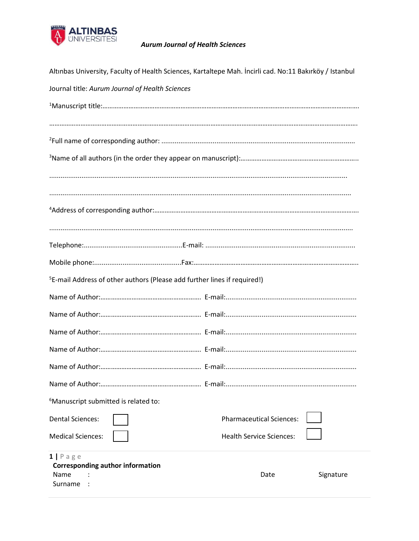

## **Aurum Journal of Health Sciences**

| Altınbas University, Faculty of Health Sciences, Kartaltepe Mah. İncirli cad. No:11 Bakırköy / Istanbul |                                 |  |  |  |  |
|---------------------------------------------------------------------------------------------------------|---------------------------------|--|--|--|--|
| Journal title: Aurum Journal of Health Sciences                                                         |                                 |  |  |  |  |
|                                                                                                         |                                 |  |  |  |  |
|                                                                                                         |                                 |  |  |  |  |
|                                                                                                         |                                 |  |  |  |  |
|                                                                                                         |                                 |  |  |  |  |
|                                                                                                         |                                 |  |  |  |  |
|                                                                                                         |                                 |  |  |  |  |
| <sup>5</sup> E-mail Address of other authors (Please add further lines if required!)                    |                                 |  |  |  |  |
|                                                                                                         |                                 |  |  |  |  |
|                                                                                                         |                                 |  |  |  |  |
|                                                                                                         |                                 |  |  |  |  |
|                                                                                                         |                                 |  |  |  |  |
|                                                                                                         |                                 |  |  |  |  |
|                                                                                                         |                                 |  |  |  |  |
| <sup>6</sup> Manuscript submitted is related to:                                                        |                                 |  |  |  |  |
| <b>Dental Sciences:</b>                                                                                 | <b>Pharmaceutical Sciences:</b> |  |  |  |  |
| <b>Medical Sciences:</b>                                                                                | <b>Health Service Sciences:</b> |  |  |  |  |
| $1   P \text{age}$<br><b>Corresponding author information</b><br>Name<br>Surname                        | Signature<br>Date               |  |  |  |  |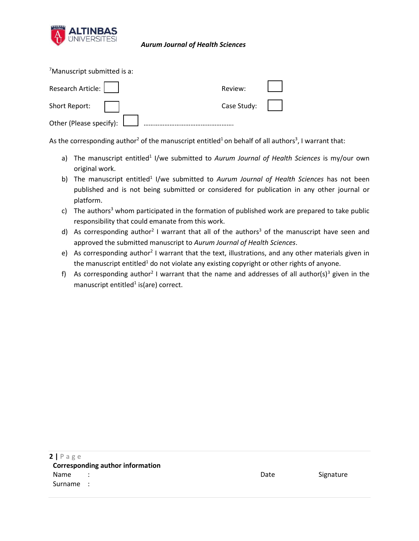

## *Aurum Journal of Health Sciences*

<sup>7</sup>Manuscript submitted is a:

| Research Article:              | Review:             |  |
|--------------------------------|---------------------|--|
| Short Report:                  | Case Study: $\vert$ |  |
| Other (Please specify): $\Box$ |                     |  |

As the corresponding author<sup>2</sup> of the manuscript entitled<sup>1</sup> on behalf of all authors<sup>3</sup>, I warrant that:

- a) The manuscript entitled<sup>1</sup> I/we submitted to *Aurum Journal of Health Sciences* is my/our own original work.
- b) The manuscript entitled<sup>1</sup> I/we submitted to *Aurum Journal of Health Sciences* has not been published and is not being submitted or considered for publication in any other journal or platform.
- c) The authors<sup>3</sup> whom participated in the formation of published work are prepared to take public responsibility that could emanate from this work.
- d) As corresponding author<sup>2</sup> I warrant that all of the authors<sup>3</sup> of the manuscript have seen and approved the submitted manuscript to *Aurum Journal of Health Sciences*.
- e) As corresponding author<sup>2</sup> I warrant that the text, illustrations, and any other materials given in the manuscript entitled<sup>1</sup> do not violate any existing copyright or other rights of anyone.
- f) As corresponding author<sup>2</sup> I warrant that the name and addresses of all author(s)<sup>3</sup> given in the manuscript entitled<sup>1</sup> is(are) correct.